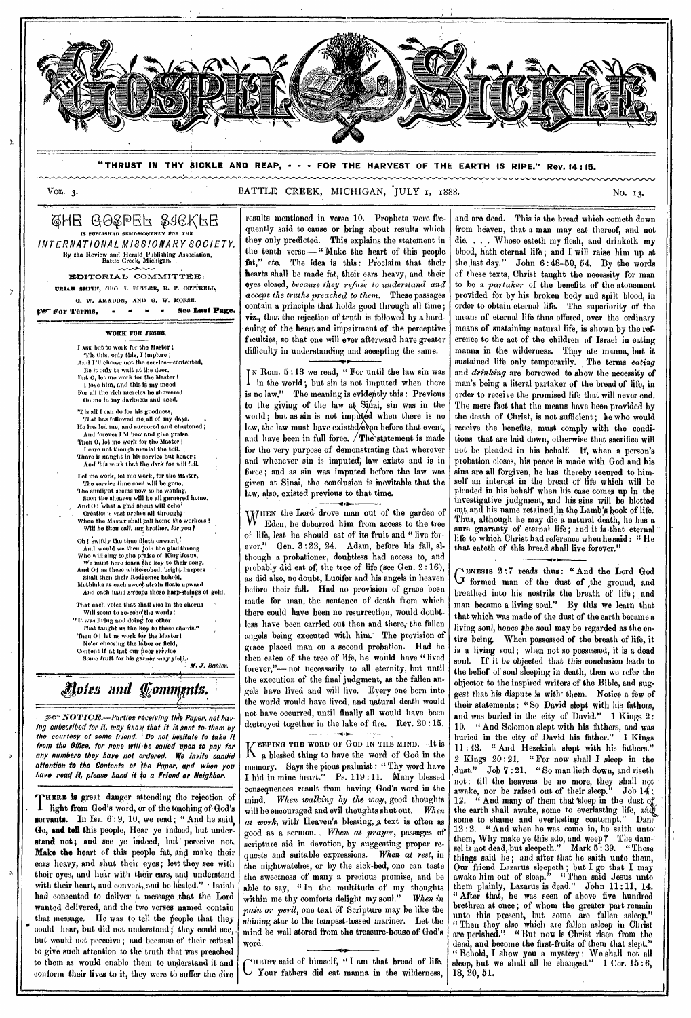

**"THRUST IN THY SICKLE AND REAP, - - - FOR THE HARVEST OF THE EARTH IS RIPE." Rev. 14115.** 

VOL. 3. BATTLE CREEK, MICHIGAN, JULY 1, 1888.

GHE GOSPEL SIEKFE **IS PUBLISHRD SEMI-MONTHLY FOR THE** INTERNATIONAL MISSIONARY SOCIETY, By the Review and Herald Publishing Association, Battle Creek, Michigan,

EDITORIAL COMMITTEE.

**URIAH SMITH, GEO. I. BUTLER, R. F. COTTRELL, G. W. AMADON,** AND D. W. *MORSR.* 

**get For Terms.** - - - - See Last Page.

**WORK FOR JESUS.** 

I ARK but to work for the Master; The this, only this, I implore ;<br>
And I'll choose not the service—contented,<br>
Be it only to wait at the door.<br>
Dut 0, let me work for the Master !<br>
I love him, and this is my meed Cor all the rich mercies he showered On mo In my darkness and need.

'T is all I can do for his goodness, That has followed me all of my days. He has led me, and succored and chastened ;<br>And forever I 'd how and give praise.<br>Then 0, let me work for the Master !<br>I care not though menial the toil.<br>There is nanght in his service but honer ;<br>And 't is work that the d

Lot me work, let me work, for the Master, The service time soon will be gone,<br>The sunlight seems now to be wanking,<br>Soon the sheaves will be all garnered home,<br>And O! what a glad shout will echo<sup>1</sup><br>Oreation's vast arches all through<sub>?</sub><br>When the Master shall call

Will he then call, my brother, for you?

Oh ! swiftly the time fileth onward And would we then join the glad throng<br>Who will sing to the praise of King Jesus,<br>We must here icans the key to their song.<br>And O I as these white robed, bright harpers<br>Shall then their Redeemer behold,<br>Methinks as each sw

And each hand sweeps those harp-strings of gold,

That each voice that shall rise In the chorus

Will seem to re-echo<sup>1</sup>the words :<br>
That taught us the key to these chords."<br>
That taught us the key to these chords."<br>
Then 0 ! let us work for the Master!<br>
Ne'er choosing the labor or field,

Content **if at last our poor scivice** Some fruit for bis gerner *saay* yield.<br> *A. J. Bahler.* 

*Ada and ennnonts* 

AD- NOTICE.—Parties receiving WO Paper, not having subscribed for it, may know that it is sent to them by the courtesy of some friend. !Do not hesitate to take it from the Office, for none will 'be called 'upon to pay for any numbers they have not ordered. We invite candid attention to the Contents of the Paper, and when you have read it, please hand it to a Friend or Neighbor.

**THERZ is** great danger attending the rejection of THERE IS great transport well as the teaching of God's servants. In Isa.  $6:9, 10$ , we read; "And he said, Go, and tell this people, Hear yo indeed, but understand **not;** and see yo indeed, but perceive not. Make the heart of this people fat, and make their ears heavy, and shut their eyes; lest they see with their cyes, and hear with their ears, and understand with their heart, and convert, and be healed." Isaiah had consented to deliver a message that the Lord wanted delivered, and the two verses named contain that message, He was to tell the people that they could hear, but did not understand; they could see, but would not perceive ; and because of their refusal to give such attention to the truth that was preached to them as would enable them to understand it and conform their lives to it, they were to suffer the dire

results mentioned in verse 10. Prophets were frequently said to cause or bring about results which they only predicted. This explains the statement in the tenth verse —" Make the heart of this people fat," etc. The idea is this: Proclaim that their hearts shall be made fat, their ears heavy, and their eyes closed, *because they refuse to understand and accept the truths preached to them.* These passages contain a principle that holds good through all time; viz., that the rejection of truth is followed by a hardening of the heart and impairment of the perceptive fuculties, so that one will ever afterward have greater difficulty in understanding and accepting the same.

I<sup>N</sup> Rom. 5:13 we read, " For until the law sin was<br>I in the world; but sin is not imputed when there in the world ; but sin is not imputed when there is no law." The meaning is evidently this: Previous to the giving of the law at Sinai, sin was in the world; but as sin is not imputed when there is no law, the law must have existed/even before that event, and have been in full force.  $/$  The statement is made for the very purpose of demonstrating that wherever and whenever sin is imputed; law exists and is in force; and as sin was imputed before the law was given at Sinai, the conclusion is inevitable that the law, also, existed previous to that time.

WHEN the Lord drove man out of the garden of<br>W Eden, he debarred him from access to the tree Eden, he debarred him from access to the tree of life, lest he should eat of its fruit and "live forever." Gen. 3 :22, 24. Adam, before his fall, although a probationer, doubtless had access to, and probably did eat of, the tree of life *(see* Gen. 2 : 16), *as* did also, no doubt, Lucifer and his angels in heaven before their fall. Had no provision of grace been made for man, the sentence of death from which there could have been no resurrection, would doubtless have been carried out then and there, the fallen angels being executed with him.' The provision of grace placed. man on a second probation. Had he then eaten of the tree of life, he would have "lived forever,"— not necessarily to all eternity, but until the execution of the final judgment, as the fallen angels have lived and will live. Every one born into the world would have lived, and natural death would not have occurred, until finally all would have been destroyed together in the lake of fire. Rev. 20 :15.

VEEPING THE WORD OF GOD IN THE MIND.—It is  $\Lambda$  a blessed thing to have the word of God in the memory. *Says* the pious psalmist : " Thy word have I hid in mine heart." Ps. 119 :11. Many blessed consequences result from having God's word in the mind. *When walking by the way,* good thoughts will be encouraged and evil thoughts shut out. *When at work,* with' Heaven's blessing,,a text is often as good as a sermon. *When at prayer,* passages of scripture aid in devotion, by suggesting proper requests and suitable expressions. *When at* rest, in the nightwatches, or by the sick-bed, one can taste the sweetness of many a precious promise, and be able to say, "In the multitude of my thoughts<br>within me thy comforts delight my soul." When in within me thy comforts delight my soul." *pain or peril,* one text of Scripture may be like the *shining* star to the tempest-tossed mariner. Let the mind be well stored from the treasure-house of God's word.

C Your fathers did eat manna in the wilderness, HRIST said of himself, " I am that bread of life.

and are dead. This is the bread which cometh down from heaven, that a man may eat thereof, and not die. . . . Whose eateth my flesh, and drinketh my blood, hath eternal life; and I will raise him up at the last day." John 6:48-50, 54. By the words of these texts, Christ taught the necessity for man to be *a partaker* of the benefits of the atonement provided for by his broken body and spilt blood, in order to obtain eternal life. The superiority of the ,means of eternal life thus offered, over the ordinary means of sustaining natural life, is shown by the reference to the act of the children of Israel in eating manna in the wilderness. They ate manna, but it sustained life only temporarily. The terms *eating*  and *drinking* are borrowed to show the necessity of man's being a literal partaker of the bread of life, in order to receive the promised life that will never end. The mere fact that the means have been provided by the death of Christ, is not sufficient; he who would receive the benefits, must comply with the conditions that are laid down, otherwise that sacrifice will not be pleaded in his behalf. If, when a person's probation closes, his peace is made with God and his sins are all forgiven, he has thereby secured to himself an interest in the bread of life which will be pleaded in his behalf when his ease comes up in the investigative judgment, and his sins will be blotted out, and his name retained,in the Lamb's book of life. Thus, although he may die a natural death; he has a sure guaranty of eternal life; and it is that eternal life to which Christ had reference when he said : " IIe that eateth of this bread shall live forever."

• G formed man of the dust of the ground, and ENESIS 2:7 reads thus: "And the Lord God breathed into his nostrils the breath of life ; and man became a living soul." By this we learn that that which was made of the dust of the earth became a living soul, hence the soul may be regarded as the entire being. When possessed of the breath of life, it is a living soul; when not so possessed, it is a dead<br>soul. If it he objected that this conclusion leads to If it be objected that this conclusion leads to the belief of soul-sleeping in death, then we refer the objector to the inspired writers of the Bible, and suggest that his dispute is with' them. Notice a few of their statements: "So David slept with his fathers, and was buried in the city of David." 1 Kings 2: 10. " And Solomon slept with his fathers, and *was*  buried in the city of David his father."  $1$  Kings  $11:43.$  "And Hezekiah slept with his fathers." " And Hezekiah slept with his fathers." 2 *Kings* 20 : 21. " For *now* shall I.sleep in the dust." Job 7 : 21. " So man lieth down, and riseth not: till the heavens be no more, they shall not awake, nor be raised out of their sleep." Job  $14$ : awake, nor be raised out of their sleep." Job 12. " And many of them that tleep in the dust the earth shall awake, some to everlasting life, some to shame and everlasting contempt." Dan."  $12:2.$  " And when he was come in, he saith unto them, Why make ye this ado, and weep? The dam-<br>sel is not dead, but sleepeth." Mark 5:39. "These set is not dead,-but sleepeth." Mark 5 : 39. "These things said he; and after that he saith unto them, Our friend Lazarus sleepeth ; but I go that I may awake him out of sleep." "Then said Jesus unto them plainly, Lazarus is dead." John 11 :11, 14. " After that, he was seen of above five hundred brethren at once; of whom the greater part remain unto this present, but some are fallen asleep." " Then they also which are fallen asleep in Christ are perished." " But now is Christ risen from the dead, and become the first-fruits of them that slept.' " Behold, I show you a mystery: We shall not all sleep, but we shall all be changed." 1 Cor. 15 :6, 18, 20, 51.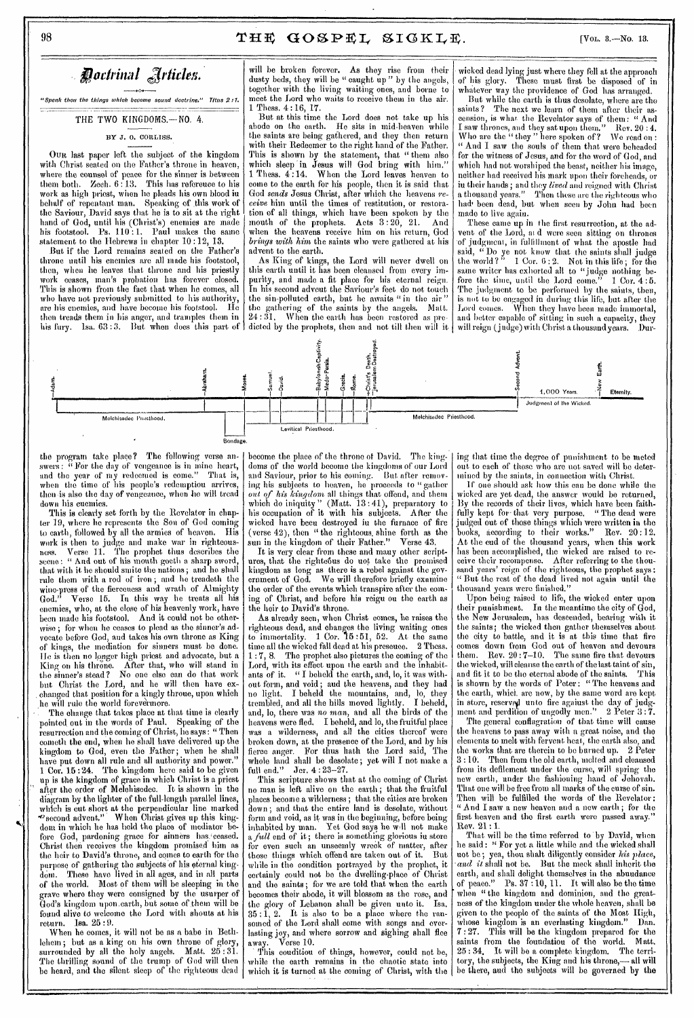*"Speak thou the things which become sound doctrine." Titus 2:1.* 

THE TWO KINGDOMS.-NO. 4.

OUR last paper left the subject of the kingdom with Christ seated on the Father's throne in heaven, where the counsel of peace for the sinner is between them both. Zech.  $6:13$ . This has reference to his work as high priest, when he pleads his own blood in behalf of repentant man. Speaking of this work of the Saviour, David says that he is to sit at the right hand of God, until his (Christ's) enemies are made his footstool. Ps. 110:1. Paul makes the same statement to the Hebrews in chapter 10:12, 13.

But if the Lord remains seated on the Father's throne until his enemies are all made his footstool, then, when he leaves that throne and his priestly work ceases, man's probation has forever closed. This is shown from the fact that when lie comes, all who have not previously submitted to his authority, are his enemies, and have become his footstool. He then treads them in his anger, and tramples them in his fury. lsa. 63 :3. But when does this part of

will be broken forever. As they rise from their dusty beds, they will be " caught up " by the angels, together with the living waiting ones, and borne to meet the Lord who waits to receive them in the air. 1 Thess. 4:16, 17.

But at this time the Lord does not take up his abode on the earth. He sits in mid-heaven while the saints are being gathered, and they then return with their Redeemer to the right hand of the Father. This is shown by the statement, that " them also which sleep \*in Jesus will God bring with him." 1 Thess. 4:14. When the Lord leaves heaven to come to the earth for his people, then it is said that God *sends* Jesus Christ, after which the heavens *receive* him until the times of restitution, or restoration of all things, which have been spoken by the mouth of the prophets. Acts  $3:20$ ,  $21.$  And when the heavens receive him on his return, God *brings with him* the saints who were gathered at his advent to the earth.

As King of kings, the Lord will never dwell on this earth until it has been cleansed from every impurity, and made a fit place for his eternal reign. In his second advent the Saviour's feet do not touch the sin-polluted earth, but he awaits " in the air " the gathering of the saints by the angels. Matt. 24: 31, When the earth has been restored as predicted by the prophets, then and not till then will it

wicked dead lying just where they fell at the approach<br>of his glory. These must first be disposed of in These must first be disposed of in whatever way the providence of God has arranged.

But while the earth is thus desolate, where are the saints? The next we learn of them after their as-The next we learn of them after their ascension, is what the Revelator says of them: " And I saw thrones, and they sat upon them." Rev. 20 : 4. Who are the " they " here spoken of ? We read on : " And I saw the souls of them that were beheaded for the witness of Jesus, and for the word of God, and which had not worshiped the beast, neither his image, neither had received his mark upon their foreheads, or in their hands ; and they *lived* and reigned with Christ a thousand years." Then these are the righteous who had been dead, but when seen by John had been made to live again.

These came up in the first resurrection, at the advent of the Lord, at d were seen sitting on thrones of judgment, in fulfillment of what the apostle had said, " Do ye not know that the saints shall judge the world ? "  $-1$  Cor. 6:2. Not in this life; for the same writer has exhorted all to "judge nothing before the time, until the Lord come."  $1 \text{ Cor. } 4:5.$ The judgment to be performed by the saints, then, is not to be engaged in during this life, but alter the When they have been made immortal, and better capable of sitting in such a capacity, they will reign (judge) with Christ a thousand years. Dur-



the program take place? The following verse answers: " For the day of vengeance is in mine heart, and the year of my redeemed is come." That is, when the time of his people's redemption arrives, then is also the day of vengeance, when he will tread down his enemies.

This is clearly set forth by the Revelator in chapter 19, where he represents the Son of God coming to earth, followed by all the armies of heaven. His work is then to judge and make war in righteousness. Verse 11. The prophet thus describes the scene: " And out of his mouth goeth a sharp sword, that with it he should smite the nations ; and he shall rule them with a rod of iron ; and lie treadeth the wine-press of the fierceness and wrath of Almighty God." Verse 15. In this way he treats all his enemies, who, at the close of his heavenly work, have been made his footstool, And it could not be otherwise ; for when he ceases to plead as the sinner's advocate before God, and takes his own throne as King of kings, the mediation for sinners must be done. Ile is then no longer high priest and advocate, but a King on his throne. After that, who will stand in the sinner's stead? No one else can do that work but Christ the Lord, and he will then have ex-, changed that position for a kingly throne, upon which he will rule the world forevermore.

The change that takes place at that time is clearly pointed, out in the words of Paul. Speaking of the resurrection and the coming of Christ, lie says: " Then cometh the end, when he shall have delivered up the kingdom to God, even the Father; when he shall have put down all rule and all authority and power." 1 Cor. 15 :24. The kingdom here said to be given up is the kingdom of grace in which Christ is a priest after the order of Melohisedee. It is shown in the diagram by the lighter of the full-length parallel lines, which is cut short at the perpendicular line marked "'second advent." When Christ gives up this kingdom in which he has held the place of mediator before God, pardoning grace for sinners has ceased. Christ then receives the kingdom promised him as the heir to David's throne, and comes to earth for the purpose of gathering the subjects of his eternal king. dom. These have lived in all ages, and in all parts of the world. Most of them will be sleeping in the grave where they were consigned by the usurper of God's kingdom upon.earth, but some of them will be found alive to welcome the Lord with shouts at his return. Isa. 25 : 9.

When he comes, it will not be as a babe in Bethlehem; but as a king on his own throne of glory, surrounded by all the holy angels. Matt. 25 : 31. The thrilling sound of the trump of God will then be heard, and the silent sleep of the righteous dead become the place of the throne of David. The kingdoms of the world become the kingdoms of our Lord and Saviour, prior to his coming. But after removing his subjects to heaven, he proceeds to "gather *out O. his kingdom* all things that offend, and them which do iniquity" (Matt. 13 : 41), preparatory to his occupation of it with his subjects. After the wicked have been destroyed in the furnace of fire (verse 42), then " the righteous, shine forth as the sun in the kingdom of their Father." Verse 43.

It is very clear from these and many other scriptures, that the righteous do uot take the promised kingdom as long as there is a rebel against the government of God. We will therefore briefly examine the order of the events which transpire after the coming of Christ, and before his reign on the earth as the heir to David's throne.

As already seen, when Christ comes, he raises the righteous dead, and changes the living waiting ones to immortality. 1 Cor. 15:51, 52. At the same to immortality.  $1 \text{ Cor. } 15:51, 52.$  At the same time all the wicked fall dead at his presence. 2 Thess. 1 : 7, 8. The prophet also pictures the coming of the Lord, with its effect upon the earth and the inhabitants of it. " I beheld the earth, and, lo, it was without form, and void ; and the heavens, and they had no light. I beheld the mountains, and, lo, they trembled, and all the bills moved lightly. I beheld, and, lo, there was no man, and all the birds of the heavens were fled. I beheld, and lo, the fruitful place was a wilderness, and all the cities thereof were broken down, at the presence of the Lord, and by his fierce anger. For thus bath the Lord said, The whole land shall be desolate ; yet will I not make a full end." Jer. 4 : 23-27.

This scripture shows that at the coming of Christ no man is left alive on the earth ; that the fruitful places become a wilderness; that the cities are broken down; and that the entire land is desolate, without form and void, as it was in the beginning, before being inhabited by man. Yet God says he wIl not make a *full* end of it; there is something glorious in store for even such an unseemly wreck of matter, after those things which offend are taken out of it. But while in the condition portrayed by the prophet, it certainly could not be the dwelling-place of Christ and the saints; for we are told that when the earth hecomes their abode, it will blossom as the rose, and<br>the glory of Lebanon shall be given unto it. Isa. the glory of Lebanon shall be given unto it.<br> $35:1.2.$  It is also to be a place where the It is also to be a place where the ransomed of the Lord shall come with songs and everlasting joy, and where sorrow and sighing shall flee away. Verse 10.

This couditiou of things, however, could not be, while the earth remains in the chaotic state into which it is turned at the coming of Christ, with the

ing that time the degree of punishment to be meted out to each of those who are not saved will be determined by the saints, in connection with Christ.

If one should ask how this can be done while the wicked are yet dead, the answer would be returned, By the records of their lives, which have been faithfully kept for that very purpose. "The dead were judged out of those things which were written in the books, according to their works." Rev. 20:12. At the end of the thousand years, when this work has been accomplished, the wicked are raised to receive their recompense. After referring to the thousand years' reign of the righteous, the prophet says : " But the rest of the dead lived not again until the thousand years were finished."

Upon being raised to life, the wicked enter upon their punishment. In the meantime the city of God, the New Jerusalem, has descended, bearing with it the saints; the wicked then gather themselves about the city to battle, and it is at this time that fire comes down from God out of heaven and devours<br>them. Rev.  $20:7-10$ . The same fire that devours Rev.  $20:7-10$ . The same fire that devours the wicked, will cleanse the earth of the last taint of sin,<br>and fit it to be the eternal abode of the saints. This and fit it to be the eternal abode of the saints. is shown by the words of Peter : " The heavens and the earth, which. are now, by the same word aro kept in store, reserved unto fire against the day of judgment and perdition of ungodly men."  $-2$   $\operatorname{Peter} \, 3$  :  $7.$ 

The general conflagration of that time will cause the heavens to pass away with a great noise, and the elements to melt with fervent heat, the earth also, and<br>the works that are therein to be burned up. 2 Peter the works that are therein to be burned up. 3 :10: Then from the old earth, melted and cleansed front its defilement under the curse, will spring the new earth, under the fashioning hand of Jehovah. That one will be free from all marks of the curse of sin. Then will be fulfilled the words of the Revelator: " And I saw a new heaven and a new earth ; for the first heaven and the first earth were passed away." Rev. 21 :1.

That will be the time referred to by David, when he said : " For yet a little while and the wicked shall not be; yea, thou shalt diligently consider *his place, and it* shall not be. But the meek shall inherit the earth, and shall delight themselves in the abundance of peace." Ps. 37 :10, 11. It will also be the time when "the kingdom and dominion, and the greatness of the kingdom under the whole heaven, shall be given to the people of the saints of the Most High, whose kingdom is an everlasting kingdom." Dan. 7 : 27. This will be the kingdom prepared for the saints from the foundatiou of the world.<br> $25:34$ . It will be a complete kingdom. The It will be a complete kingdom. The terri-<br>subjects, the King and his throne.— all will tory, the subjects, the King and his throne,be there, and the subjects will be governed by the

*Rotirinal* 

BY J. 0. CORLISS.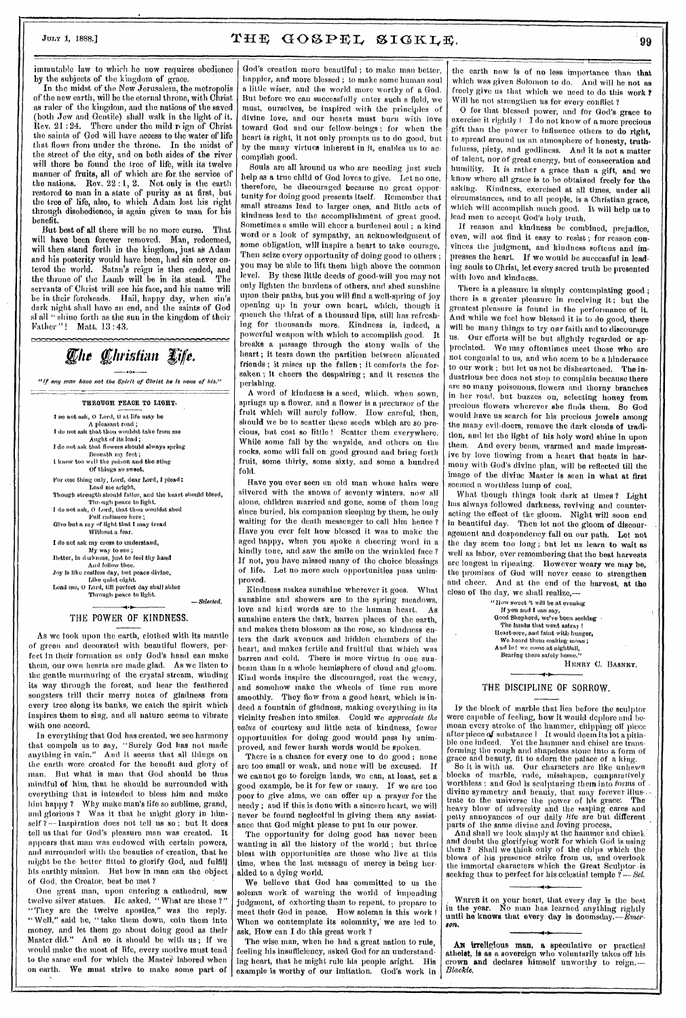immutable law to which he now requires obedience by the subjects of the kingdom of grace.

In the midst of the New Jerusalem, the metropolis of the new earth, will be the eternal throne, with Christ as ruler of the kingdom, and the nations of the saved (both Jew and Gentile) shall walk in the light of it.<br>Rev. 21:24. There under the mild reign of Christ There under the mild reign of Christ the saints of God will have access to the water of life that flows from under the throne. In the midst of the street of the city, and on both sides of the river will there bo found the tree of life, with its twelve manner of fruits, all of which are for the service of the nations. Rev.  $22:1, 2$ . Not only is the earth restored to man in a state of purity as at first, but the tree of life, also, to which Adam lost his right through disobedience, is again given to man for his benefit.

But best of all there will be no more curse. That will have been forever removed. Man, redeemed, will then stand forth in the kingdom, just as Adam and his posterity would have been, had sin never entered the world. Satan's reign is then ended, and the throne of the Lamb will be in its stead. The servants of Christ will see his face, and his name will be in their foreheads. Hail, happy day, when sin's dark night shall have an end, and the saints of God sl all " shine forth as the sun in the kingdom of their Father "! Matt. 13 :43.

The Christian Life.

"If any man have not the Spirit of Christ he is none of his,"



### THE POWER OF KINDNESS.

As we look upon the earth, clothed with its mantle of green and decorated with beautiful flowers, perfect in their formation as only God's hand can make them, our own hearts are made glad. As we listen to the gentle murmuring of the crystal stream, winding its way through the forest, and hear the feathered songsters trill their merry notes of gladness from every tree along its banks, we catch the spirit which inspires them to *sing,* and all nature seems to vibrate with ono accord.

In everything that God has created, we see harmony that compels us to say, "Surely God has not made anything in vain." And it seems that all things on the earth were created for the benefit and glory of man. But what is man that God should be thus mindful of him, that he should be surrounded with everything that is intended to bless him and make him happy ? Why make man's life so sublime, grand, and glorious ? Was it that he might glory in himself  $?$  --1nspiration does not tell us so; but it does tell us that for God's pleasure man was created. It appears that man was endowed with certain powers, and surrounded with the beauties of creation, that he might, be the better fitted to glorify God, and fulfill his earthly mission. But how in man can the object of God, the Creator, best be met ?

One great man, upon entering a cathedral, saw twelve silver statues. He asked, "What are these ?" "They are the twelve apostles," was the reply. "Well," said he, "take them down, coin them into money, and let them go about doing good as their Master did." And so it should be with us ; if we would make the most of life, every motive must tend to the same end for which the Master labored when<br>on earth. We must strive to make some part of We must strive to make some part of

God's creation more beautiful ; to make man better, happier, and more blessed ; to make some human soul a little wiser, and the world more worthy of a God. But before we can successfully enter such a field, we must, ourselves, be inspired with the principles of divine love, and our hearts must burn with love toward God and our fellow-beings ; for when the heart is right, it not only prompts us to do good, but by the many virtues inherent in it, enables us to accomplish good.

Souls are all around us who are needing just such help as a true child of God loves to give. Let no one, therefore, be discouraged because no great opportunity for doing good presents itself. Remember that small streams lead to larger ones, and little acts of kindness lead to the accomplishment of great good. Sometimes a smile will cheer a burdened soul ; a kind word or a look of sympathy, an acknowledgment of some obligation, will inspire a heart to take courage. Then seize every opportunity of doing good to others ; you may be able to lift them high above the common level. By these little deeds of good-will you may not only lighten the burdens of others, and shed sunshine upon their paths, but you will find a well-spring of joy pening up in your own heart, which, though it quench the thirst of a thousand lips, still has refreshing for thousands more. Kindness is, indeed, a powerful weapon with which to accomplish good. It breaks a passage through the stony walls of the heart ; it tears down the partition between alienated friends ; it raises up the fallen ; it comforts the forsaken ; it cheers the despairing ; and it rescues the perishing.

A word of kindness is a seed, which. when sown, springs up a flower, and a flower is a precursor of the fruit which will surely follow. How careful, then, should we be to scatter these seeds which are so precious, but cost so little ! Scatter them everywhere. While some fall by the wayside, and others on the rocks, some will fall on good ground and bring forth fruit, some thirty, some sixty, and some a hundred fold.

Have you ever seen au old man whose hairs wore silvered with the snows of seventy winters, now all alone, children married and gone, some of them long since buried, his companion sleeping by them, he only waiting for the death messenger to call him hence? Have you ever felt how blessed it was to make the aged happy, when you spoke a cheering word in a kindly tone, and saw the smile on the wrinkled face ? If not, you have missed many of the choice blessings<br>of life. Let no more such opportunities pass unim-Let no more such opportunities pass unimproved.

Kindness makes sunshine wherever it goes. What sunshine and showers are to the spring meadows, love and kind words are to the human heart. As sunshine enters the dark, barren places of the earth, and makes them blossom as the rose, so kindness enters the dark avenues and hidden chambers of the heart, and makes fertile and fruitful that which was barren and cold. There is more virtue in one sunbeam than in a whole hemisphere of cloud and gloom. Kind words inspire the discouraged, rest the weary, and somehow make the wheels of time run more smoothly. They flow from a good heart, which is indeed a fountain of gladness, making everything in its vicinity freshen into smiles. Could we appreciate the value of courtesy and little acts of kindness, fewer opportunities for doing good would pass by unimproved, and fewer harsh words would be spoken.

There is a chance for every one to do good; none are too small or weak, and none will be excused, If we cannot go to foreign lands, we can, at least, set a good example, be it for few or many. If we are too poor to give alms, we can offer up a prayer for the needy ; and if this is done with a sincere heart, we will never be found neglectful in giving them any assistance that God might please to put In our power.

The opportunity for doing good has never been wanting in all the history of the world ; but thrice blest with opportunities are those who live at this time, when the last message of mercy is being heralded to a dying world.

We believe that God has committed to us the solemn work of warning the world of impending judgment, of exhorting them to repent, to prepare to meet their God in peace. How solemn is this work 1 When we contemplate its solemnity, we are led to ask, How can I do this great work ?

The wise man, when he had a great nation to rule, feeling his insufficiency, asked God for an understanding heart, that he might rule his people aright. His example is worthy of our imitation.

the earth now is of no less importance than that which was given Solomon to do. And will he not as freely give us that which we need to do this work ? Will he not strengthen us for every conflict ?

0 for that blessed power, and for God's grace to exercise it rightly ! I do not know of a more precious gift than the power to influence others to do right, to spread around us an atmosphere of honesty, truthfulness, piety, and godliness. And it is not a matter of talent, nor of great energy, but of consecration and humility. It is rather a grace than a gift, and we know where all grace is to be obtained freely for the asking. Kindness, exercised at all times, under all circumstances, and to all people, is a Christian grace, which will accomplish much good. It will help us to lead men to accept God's holy truth,

If reason and kindness be combined, prejudice, even, will not find it easy to resist ; for reason convinces the judgment, and kindness softens and impresses the heart. If we would be successful in leading souls to Christ, let every sacred truth be presented with love and kindness.

There is a pleasure in simply contemplating good ; there is a greater pleasure in receiving it ; but the greatest pleasure is found in the performance of it. And while we feel how blessed it is to do good, there will be many things to try our faith and to discourage us. Our efforts will be but slightly regarded or appreciated. We may oftentimes meet those who are We may oftentimes meet those who are not congenial to us, and who seem to be a hinderance to our work; but let us not be disheartened. The industrious bee does not stop to complain because there are so many poisonous, flowers and thorny branches in her road, but buzzes on, selecting honey from precious flowers wherever she finds them. So God would have us search for his precious jewels among the many evil-doers, remove the dark clouds of tradition, and let the light of his holy word shine in upon them. And every beam, warmed and made impressive by love flowing from a heart that beats in harmony with God's divine plan, will be reflected till the image of the divine Master is seen in what at first seemed a worthless lump of coal.

What though things look dark at times ? Light has always followed darkness, reviving and counteracting the effect of the gloom. Night will soon end. in beautiful day. Then let not the gloom of discouragement and despondency fall on our path. Let not the day seem too long ; but let us learn to wait as well as labor, ever remembering that the best harvests arc longest in ripening. However weary we may be, the promises of God will never cease to strengthen and cheer. And at the end of the harvest, at the close of the day, we shall realize,—

> " How sweet 't will be at evening If you and I can *say,*  Good Shepherd, we've been seeking The lambs that went astray ! Heart-sore, and faint with hunger,<br>We heard them making moan ;<br>And lo! we come at nightfall,<br>Bearing them safely home." HENRY C. BASNEY.

THE DISCIPLINE OF SORROW.

IF the block of marble that lies before the sculptor were capable of feeling, how it would deplore and bemoan every stroke of the hammer, chipping off piece after piece of substance 1 It would deem its lot a pitia-ble one indeed. Yet the hammer and chisel are transforming the rough and shapeless stone into a form of grace and beauty, fit to adorn the palace of a king. So it is with us. Our characters are like unhewn

blocks of marble, rude, misshapen, comparatively worthless and God is sculpturing them into forms of divine symmetry and beauty, that may forever illus...<br>trate to the universe the power of his grace. The heavy blow of adversity and the rasping cares and petty annoyances of our daily fife are but different parts'of the same divine and loving process.

And shall we look simply at the hammer and chisel; and doubt the glorifying work for which God is using<br>them ? Shall we think only of the chips which the blows of his presence strike from us, and overlook the immortal characters which the Great Sculptor -is seeking thus to perfect for his celestial temple  $\tilde{\textit{i}}$  — Set.

WRITE it on your heart, that every day is the best<br>in the year. No man has learned anything rightly until he knows that every day is doomsday.— $\vec{E}$ merson.

An irreligious man, a speculative or practical atheist, is as a sovereign who voluntarily takes off his crown and declares himself unworthy to reign. Blackie,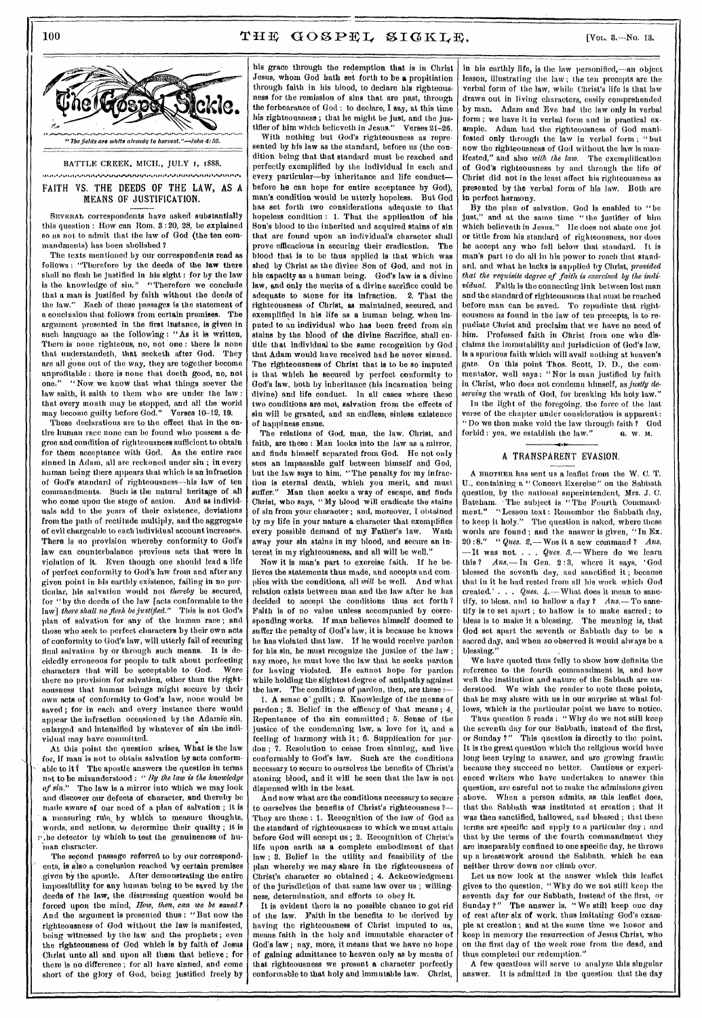

# FAITH VS. THE DEEDS OF THE LAW, AS A MEANS OF JUSTIFICATION.

SEVERAL **correspondents have asked substantially this question : How can Rom. 8 :20, 28, be explained so as not to admit that the law of God (the ten commandments) has been abolished ?** 

**The texts mentioned by our correspondents read as follows : "Therefore by the deeds of the law there shall no flesh be justified in his sight : for by the law is the knowledge of sin." "Therefore we conclude that a man is justified by faith without the deeds of Each of these passages is the statement of a conclusion that follows from certain premises. The argument presented in the first instance, is given in such language as the following: "As it is written, There is none righteous, no, not one : there is none that understandeth, that seeketh after God. They are all gone out of the way, they are together become unprofitable : there is none that doeth good, no, not one." "Now. we know that what things soever the**  law saith, it saith to them who are under the law : **that every mouth may be stopped, and all the world may become guilty before God." Verses 10-12, 19.** 

**These declarations are to the effect that in the entire human race none can be found who possess a degree and condition of righteousness sufficient to obtain for them acceptance with God. As the entire race sinned in Adam, all are reckoned under sin ; in every human being there appears that which is an infraction of God's standard of righteousness—his law of ten commandments. Such is the natural heritage of all who come upon the stage of action. And as individuals add to the years of their existence, deviations front the path of rectitude multiply, and the aggregate of evil chargeable to each individual account increases. There is no provision whereby conformity to God's law can counterbalance previous acts that were in violation of it. Even though one should lead a life of perfect conformity to God's law from and after any given point in his earthly existence, failing in no particular, his salvation would not** *thereby* **bo secured, for "by the deeds of the law [acts conformable to the law]** *there shall no flesh be justified."* **This is not God's plan of salvation for any of the human race ; and those who seek to perfect characters by their own acts of conformity to God's law, will utterly fail of securing final salvation by or through such means. It is decidedly erroneous for people to talk about perfecting**  characters that will be acceptable to God. **there no provision for salvation, other than the righteousness that human beings might secure by their own acts of conformity to God's law, none would be saved ; for in each and every instance there would appear the infraction occasioned by the Adamic sin, enlarged and intensified by whatever of sin the individual may have committed.** 

**At this point the question arises, What is the law**  for, if man<sup>t</sup> is not to obtain salvation by acts conform**able to it? The apostle answers the question in terms net to be misunderstood : "** *By the law is the knowledge of sin."* **The law is a mirror into which we may look and discover our defects of character, and thereby be made aware of our need of a plan of salvation ; it is a measuring rule, by which to measure thoughts, words, and actions, to determine their quality ; it is**   $\mu$  he detector by which to test the genuineness of human character.

The second passage referred to by our correspond**ents, is also a conclusion reached by certain premises given by the apostle. After demonstrating the entire impossibility for any human being to be saved by the deeds of the law, the distressing question would be forced upon the mind,** *How, then, can we be saved I*  **And the argument is presented thus : "But now the righteousness of God without the law is manifested, being witnessed by the law and the prophets ; even the righteousness of God which is by faith of Jesus Christ unto all and upon all them that believe ; for there is no difference ; for all have sinned, and come short of the glory of God, being justified freely by**  **his grace through the redemption that is in Christ Jesus, whom God bath set forth to be a propitiation through faith in his blood, to declare his righteousness for the remission of sins that are past, through**  the forbearance of God : to declare, I say, at this time **his righteousness ; that he might be just, and the justifier of him which believeth in Jesus." Verses 21-26.** 

With nothing but God's righteousness as repre**sented by his law as the standard, before us (the condition being that that standard must be reached and perfectly exemplified by the individual in each and every particular—by inheritance and life conduct before he can hope for entire acceptance by God), man's condition would be utterly hopeless. But God has set forth two considerations adequate to that hopeless condition : 1. That the application of his Son's blood to the inherited and acquired stains of sin that are found upon an individual's character shall prove efficacious in securing their eradication. The blood that is to be thus applied is that which was shed by Christ as the divine Son of God, and not in his capacity as a human being. God's law is a divine law, and only the merits of a divine sacrifice could be adequate to atone for its infraction. 2. That the righteousness of Christ, as maintained, secured, and exemplified in his life as a human being, when imputed to an individual who has been freed from sin stains by the blood of the divine Sacrifice, shall entitle that individual to the same recognition by God that Adam would have received had he never sinned. The righteousness of Christ that is to be so imputed is that which he secured by perfect conformity to God's law, both by inheritance (his incarnation being divine) and life conduct. In all cases where these two conditions are met, salvation from the effects of sin will be granted, and an endless, sinless existence of happiness ensue.** 

**The relations of God, man, the law. Christ, and faith, are these : Man looks into the law as a mirror, and finds himself separated from God. He not only sees an impassable gulf between himself and God,**  but the law says to him, "The penalty for my infrac**tion is eternal death, which you merit, and must suffer." Man then seeks a way of escape, and finds Christ, who says, "My blood will eradicate the stains of sin from your character ; and, moreover, I obtained by my life in your nature a character that exemplifies every possible demand of my Father's law. Wash away your sin stains in my blood, and secure an interest in my righteousness, and all will be well."** 

**Now it is man's part to exercise faith. If he believes the statements thus made, and** accepts and complies **with the conditions, all** *will* **be well. And what relation exists between man and the law after he has decided to accept the conditions thus set forth ? Faith is of no value unless accompanied by corresponding works. If man believes himself doomed to suffer the penalty of God's law, it is because he knows he has violated that law. If he would receive pardon**  for his sin, he must recognize the justice of the law; **nay more, he must love the law that** he seeks pardon for having violated. He cannot hope for pardon while holding the slightest degree of antipathy against<br>the law. The conditions of pardon, then, are these :---The conditions of pardon, then, are these :-

1. **A** sense **o"** guilt ; 2. Knowledge of the means of pardon ; 8. Belief in the efficacy of that means ; 4, Repentance of the sin committed ; 5. Sense of the justice of the condemning law, a love for it, and a feeling of harmony with it ; 6. Supplication for par- $\phi$ don :  $\tilde{7}$ . Resolution to cease from sinning, and live conformably to God's law. Such are the conditions necessary to secure to ourselves the benefits of Christ's atoning blood, and it will be seen that the law is not dispensed with in the least.

And now what are the conditions necessary to secure to ourselves the benefits of Christ's righteousness ?— They are these : 1. Recognition of the law of God as the standard of righteousness to which we must attain before God will accept us ; 2. Recognition of Christ's life upon earth as a complete embodiment of that law ; 8. Belief in the utility and feasibility of the plan whereby we may share in the righteousness of Christ's character so obtained ; 4. Acknowledgment of the jurisdiction of that same law over us ; willingness, determination, and efforts to obey it.

It is evident there is no possible chance to get rid **of the law. Faith in the benefits to be** derived by having the righteousness of Christ imputed to us, means faith in the holy and immutable character of God's law ; nay, more, it means that we have no hope of gaining admittance to **heaven only as by means of that righteousness we present a** character perfectly conformable to **that holy and immutable law. Christ,** 

**in his earthly life, is** the law personified,--an object lesson, illustrating the law ; the ten precepts are the **verbal form** of the law, while Christ's life is that law drawn **out in** living characters, easily comprehended by man. Adam and Eve had the law **only in verbal form ; we have it in verbal form and in practical example. Adam** had the righteousness of God manifested only through the law in verbal form ; "but now the righteousness of God without the law is manifested," **and also** *with the law.* **The exemplification of God's righteousness** by and through the life of Christ **did not in the** least affect his righteousness as **presented by the verbal form of his law, Both are in perfect harmony.** 

**By the plan** of salvation, God is enabled to "be and at the same time "the justifier of him which believeth in Jesus." He does not abate one jot or tittle from his standard of righteousness, nor does **he accept any who fall** below that standard. It is man's part to do all in his power to reach that standard, and what he lacks is supplied by Christ, *provided that the requisite degree of faith is exercised by the individual.* **Faith is the connecting** link between lost man and the standard of righteousness that must be reached before man can be saved. To repudiate that righteousness as found in the law of ten precepts, is to repudiate Christ and proclaim that we have no need of him. Professed faith in Christ from one who disclaims the immutability and jurisdiction of God's law, is a spurious faith which will avail nothing at heaven's gate. On this point Thos. Scott, D. D., the commentator, well says: "Nor is man justified by faith in Christ, **who** does not condemn himself, as *justly deserving* the wrath of God, for breaking his holy law." In the light of the foregoing. the force of the last

verse of the chapter under consideration is apparent: " Do we then make void the law through faith ? God forbid : yea, we establish the law." **a. w. M.** 

## A TRANSPARENT EVASION.

**A nnoTnEa** has sent us a leaflet from the W. C. **T. U.,** containing a " Concert Exercise" on the Sabbath question, by the national superintendent, Mrs. J. C. Bateham. • The subject is **" The Fourth Commandment." "Lesson** text : Remember the Sabbath day, **to** keep **it holy." The question is** asked, where these **words are found ; and** the answer is given, "In Ex. 20:8." " *Ques.* 2.— Was it a new command? Ans. **—It was not. .** *Ques. 3.***— Whero do we learn**  this ? *Ans.*— In Gen. 2:3, where it says, 'God blessed the seventh day, and sanctified it ; because that in it he had rested from all his work which God created.' . . . *Ques. 4.—* What does it mean to sanctify, to bless, and to hallow a day ? *Ans.* - To sanetify is to set apart ; to hallow is to make sacred ; to bless is to make it a blessing. The meaning **is, that God set** apart the seventh or Sabbath day to **be a sacred day, and when so observed it would always be a blessing."** 

**We** have quoted thus fully to show how definite the reference to the fourth commandment is, and how well the institution and nature of the Sabbath are understood. We wish the reader to note these points, that he may share with us in our surprise at what follows, which is the particular point we have to notice.

Thus question 5 reads : "Why do we not still keep the seventh day for our Sabbath, instead of the first, or Sunday ?" This question is directly to the point. or Sunday ?" This question is directly to the point.<br>It is the great question which the religious world have long been trying to answer, and are growing frantic because they succeed no better. Cautious or experienced writers who have undertaken to answer this question, are careful not to make the admissions given above. When a person admits, as this leaflet does, that the Sabbath was instituted at creation ; that it was then sanctified, hallowed, and blessed ; that these terms are specific and apply to a particular day ; and that by the terms of the fourth commandment they are inseparably confined to one specific day, he throws up a breastwork around the Sabbath, which he can neither throw down nor climb over.

Let us now look at the answer which this leaflet gives to the question, "Why do we not still keep the seventh day for our Sabbath, instead of the first, or Sunday ?" The answer is, " We still keep one day of rest after **six of work, thus imitating God's example at creation ; and at** the same time we honor and keep in memory the resurrection of Jesus Christ, who on the first day of the week rose from the dead, and thus completed our redemption."

A few questions will serve to analyze this singular answer. It is admitted in the question that the day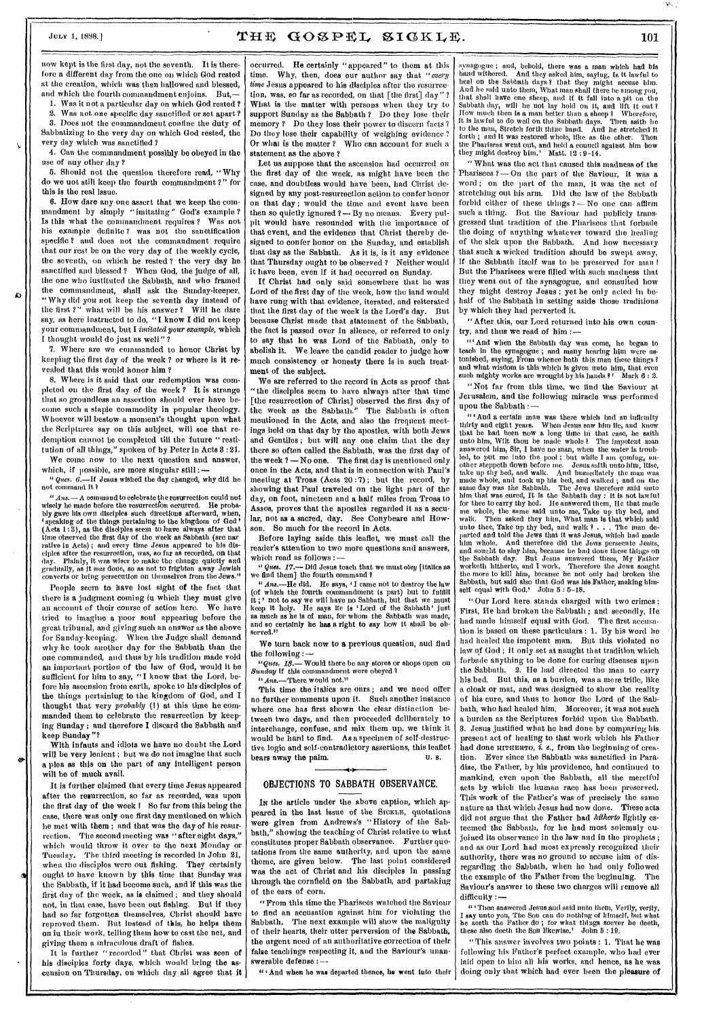۵

## July 1, 1888.]  $THE GOSPEL SIGKLE$ . 101

now kept is the first day, not the seventh. It is therefore a different day from the one on which God rested at the creation, which was then hallowed and blessed, and which the fourth commandment enjoins. But,-

1. Was it not a particular day on which God rested ?<br>2. Was not one specific day sanctified or set apart ?

Was not one specific day sanctified or set apart ? 3. Does not the commandment confine the duty of Sabbatizing to the very day on which God rested, the very day which was sanctified ?

4. Can the commandment possibly be obeyed in the use of auy other day ?

G. Should not the question therefore read, "Why do we not still keep the fourth commandment ?" for this is the real issue.

6. How dare any one assert that we keep the commandment by simply "imitating" God's example ? Is this what the commandment requires ? Was not his example definite ? was not the sanctification specific ? and does not the commandment require that our rest be on the very day of the weekly cycle, the seventh, on which he rested ? the very day he sanctified and blessed ? When God, the judge of all, the one who instituted the Sabbath, and who framed the commandment, shall ask the Sunday-keeper, " Why did you not keep the seventh day instead of the first ?" what will be his answer ? Will he dare say, as here instructed to do, "I know I did not keep your commandment, but I *imitated your example,* which I thought would do just as well" ?

7. Where aro we commanded to honor Christ by keeping the first day of the week ? or where is it revealed that this would honor him ?

8. Where is it said that our redemption was completed on the first day of the week ? It is strange that so groundless an assertion should ever have become such a staple commodity in popular theology. Whoever will bestow a moment's thought upon what the Scriptures say on this subject, will see that redemption cannot be completed till the future " restitution of all things," spoken of by Peter in Acts 8:21.

We come now to the next question and answer, which, if possible, are more singular still :

*Ques.* 6.—If Jesus wished the day changed, why did he not command it 1

*"Ans.—* A command to celebrate the resurrection could not wisely be made before the resurrection occurred. He probably gave his own disciples such directions afterward, when, 'speaking of the things pertaining to the kingdom of God' (Acts 1:8), as the disciples seem to have always after that time observed the first day of the week as Sabbath (see nar rative in Acts) ; and every time Jesus appeared to his disciples after the resurrection, was, so far as recorded, on that<br>day. Plainly, it was wiser to make the change quietly and<br>gradually, as it was done, so as not to fr converts or bring persecution on themselves from the Jews."

People seem to have lost sight of the fact that there is a judgment coming in which they must give an account of their course of action here. We have tried to imagine a poor soul appearing before the great tribunal, and giving such an answer as the above for Sunday-keeping. When, the Judge shall demand why he took another day for the Sabbath than the one commanded, and thus by his tradition made void an important portion of the law of God, would it be sufficient for him to say, "I know that the Lord, before his ascension from earth, spoke to his disciples of the things pertaining to the kingdom of God, and I thought that very *probably (I)* at this time he commanded them to celebrate the resurrection by keeping Sunday ; and therefore I discard the Sabbath and keep Sunday"?

With infants and idiots we have no doubt the Lord will be very lenient ; but we do not imagine that such a plea as this on the part of any intelligent person will be of much avail.

It is further claimed that every time Jesus appeared after the resurrection, so far as recorded, was upon the first day of the week 1 So far from this being the case, there was only one first day mentioned on which he met with them ; and that was the day of his resurrection. The second meeting was "after eight days," which would throw it over to the next Monday or Tuesday. The third meeting is recorded in John 21, when the disciples were out fishing. They certainly ought to have known by this time that Sunday was the Sabbath, if it had become such, and if this was the first day of the week, as is claimed; and they should not, in that case, have been out fishing. But if they had so far forgotten themselves, Christ should have reproved them. But instead of this, he helps them on in their work, telling them how to cast the net, and giving them a miraculous draft of fishes.

It is further "recorded" that Christ was seen of his disciples forty days, which would bring the ascension on Thursday, on which day all agree that it

occurred. He certainly "appeared" to them at this time. Why, then, does our author say that "every Why, then, does our author say that "every time Jesus appeared to his disciples after the resurrection, was, so far as recorded, on that [the first] day " ? What is the matter with persons when they try to support Sunday as the Sabbath ? Do they lose their memory ? Do they lose their power to discern facts ? Do they lose their capability of weighing evidence'. Or what is the matter? Who can account for such a statement as the above?

Let us suppose that the ascension had occurred on the first day of the week, as might have been the case, and doubtless would have been, had Christ designed by any post-resurrection action to confer honor on that day ; would the time and event have been then so quietly ignored ?- By no means. Every pulpit would have resounded with the importance of that event, and the evidence that Christ thereby designed to confer honor on the Sunday, and establish that day as the Sabbath. As it is, is it any evidence that Thursday ought to be observed ? Neither would it have been, even if it had occurred on Sunday.

If Christ had only said somewhere that he was Lord of the first day of the week, how the land would have rung with that evidence, iterated, and reiterated that the first day of the week is the Lord's day. But because Christ made that statement of the Sabbath, the fact is passed over in silence, or referred to only to say that he was Lord of the Sabbath, only to abolish it. We leave the candid reader to judge how much consistency or honesty there is in such treatment of the subject.

We are referred to the record in Acts as proof that "the disciples seem to have always after that time [the resurrection of Christ] observed the first day of the week as the Sabbath." The Sabbath is often mentioned in the Acts, and also the frequent meetings held on that day by the apostles, with both Jews and Gentiles; but will any one claim that the day there so often called the Sabbath, was the first day of the week  $?$  — No one. The first day is mentioned only once in the Acts, and that is in connection with Paul's meeting at Troas (Acts 20 :7); but the record, by showing that Paul traveled on the light part of the day, on foot, nineteen and a half miles from Troas to Assos, proves that the aposiles regarded it as a secular, not as a sacred, day. See Conybeare and Howson. So much for the record in Acts.

Before laying aside this leaflet, we must call the reader's attention to two more questions and answers, which read as follows *:—* 

*"Ques. 17.—* Did Jesus teach that we must *obey* [italics as we find them] the fourth command ?

*" Ana.—Ile* did. He says, 'I came not to destroy the law (of which the fourth commandment is part) but to fulfill it;' not to say we will have no Sabbath, but that we must<br>keep it holy. He says it is 'Lord of the Sabbath' just<br>as much as he is of man, for whom the Sabbath was ma served."

We turn back now to a previous question, and find the following *:—* 

*"Ques. 18.—* Would there be any stores or shops open on *Sunday* if this commandment were obeyed ? " Ans.--There would not."

This time the italics are ours; and we need offer no further comments upon it. Such another instance where one has first shown the clear distinction between two days, and then proceeded deliberately to interchange, confuse, and mix them up, we think it would be hard to find. As a specimen of self-destructive logic and self-contradictory assertions, this leaflet bears away the palm. U.S.

#### OBJECTIONS TO SABBATH OBSERVANCE.

In the article under the above caption, which appeared in the last issue of the SICKLE, quotations were given from Andrews's " History of the Sabbath," showing the teaching of Christ relative to what constitutes proper Sabbath observance. Further quotations from the same authority, and upon the same theme, are given below. The last point considered was the act of Christ and his disciples in passing through the cornfield on the Sabbath, and partaking of the ears of corn.

"Prom this time the Pharisees watched the Saviour to find an accusation against him for violating the Sabbath. The next example will show the malignity of their hearts, their utter perversion of the Sabbath, the urgent need of an authoritative correction of their false teachings respecting it, and the Saviour's unanswerable defense : —

i" And when *he* was departed thence, he went into their

synagogue ; and, behold, there was a man which had his hand withcred. And they asked him, saying, Is it lawful to<br>heal on the Sabbath days ? that they might accuse him.<br>And he said unto them, What man shall there be among you,<br>that shall lawe one sheep, and if it fall into a p to the man, Stretch forth thine hand. And lie stretched it forth ; and it was restored whole, like as the other. Then the Pharisees went out, and held a council against him how they might destroy him.' Matt. 12 9-14.

" What was the act that caused this madness of the Pharisees ?— On the part of the Saviour, it was a word ; on the part of the man, it was the act of stretching out his arm. Did the law of the Sabbath forbid either of these things ? - No one can affirm such a thing. But the Saviour had publicly transgressed that tradition of the Pharisees that forbade the doing of anything whatever toward the healing of the sick upon the Sabbath. And how necessary that such a wicked tradition should be swept away, if the Sabbath itself was to be preserved for man! But the Pharisees were filled with such madness that they went out of the synagogue, and consulted how they might destroy Jesus ; yet he only acted in behalf of the Sabbath in setting aside those traditions by which they had perverted it.

"After this, our Lord returned into his own country, and thus we read of him :—

"' And when the Sabbath day was come, he began to teach in the synagogue ; and many hearing him were astonished, saying, From whence bath this man these things? and what wisdom is thls which is given unto him, that even such mighty works are wrought by his hands ? Mark  $6:2$ .

"Not far from this time, we find the Saviour at Jerusalem, and the following miracle was performed upon the Sabbath :—

" 'And a certain man *was* there which had an infirmity thirty and eight years. When Jesus saw him lie, and knew that he had been now a long time in that case, he saith unto him, Wilt thou be made whole ? The impotent man answered him, Sir, I have no man, when the water is troubled, to put me into the pool ; but while I am coming, another steppeth down before me. Jesus saith unto him, Risc, take up thy bed, and walk. And mondiately the man parted and told the Jews that it was Jesus, which had made him whole. And therefore did the Jewa persecute Jesus, him whole. And therefore did the Jews persecute Jesus,<br>and sought to slay him, because he had done these things on the Sabbath day. But Jesus answered them, My Father worketh hitherto, and I work. Therefore the Jews sought the more to kill him, because he not only had broken the Sabbath, but said also that God was his Father, making himself equal with God.' John 5: 5-18.

"Our Lord here stands charged with two crimes : First, He had broken the Sabbath ; and secondly, He had made himself equal with God. The first accusation is based on these particulars : 1. By his word he had healed the impotent man, But this violated no law of God ; it only set at naught that tradition which forbade anything to be done for curing diseases upon the Sabbath. 2. He had directed the man to carry his bed. But this, as a burden, was a mere trifle, like a cloak or mat, and was designed to show the reality of his cure, and thus to honor the Lord of the Sabbath, who had healed him, Moreover, it was not such a burden as the Scriptures forbid upon the Sabbath. 8. Jesus justified what he had done by' comparing his present act of healing to that work which his Father had done HITHERTO, i. e., from the beginning of crea*tion.* Ever since the Sabbath was sanctified in Paradise, the Father, by his providence, had continued to mankind, even upon the Sabbath, all the merciful acts by which the human race has been preserved. This work of the Father's was of precisely the Same nature as that which. Jesus had now done. These acts did not argue that the Father bad *hitherto* lightly esteemed the Sabbath, for he had most solemnly enjoined its observance in the law and in the prophets ; and as our Lord had most expressly recognized their authority, there was no ground to accuse him of disregarding the Sabbath, when he had only followed the example of the Father from the beginning. The Saviour's answer to these two charges will remove all difficulty : --

<sup>4</sup> " Then answered Jesus and said unto them, Verily, verily, I say unto you, The Son can do nothing of himself, but what he seeth the Father do ; for what things !mover he doeth, these also doeth the Son likewise.' John 6 : 19.

"This answer involves two points : 1. That he was following his Father's perfect example, who had ever laid open to him all his works, and hence, as he was doing only that which had ever been the pleasure of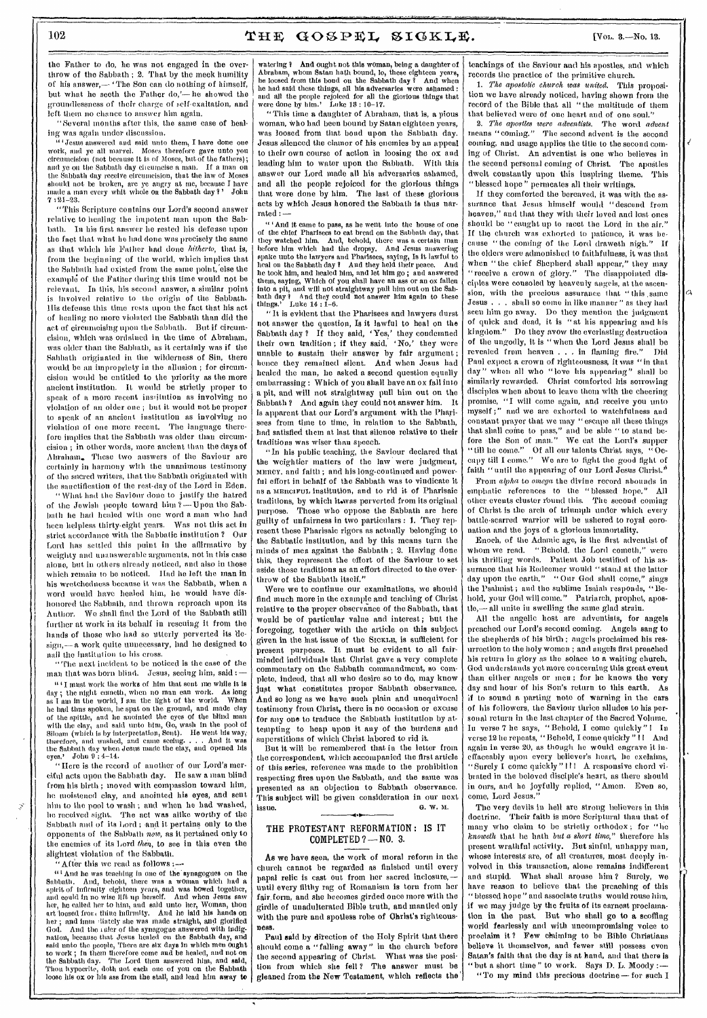the Father to do, he was not engaged in the overthrow of the Sabbath ; 2. That by the meek humility of his answer,-'The Son can do nothing of himself, but what he seeth the Father do,'— he showed the groundlessness of their charge of self-exaltation, and left them no chance to answer him again.

"Several months after this, the same case of healing was again under discussion.

"'Jesus answered and said unto them, I have done one work, and ye all marvel. Moses therefore gave unto you circumcision (not because it is of Moses, but of the fathers); and ye on the Sabbath day cheumeise a man. If a man on the Sabbath day receive circumcision, that the law of Moses should not be broken, are ye angry at me, because I have made a man every whit whole on the Sabbath day 1' John  $7:21 - 23.$ 

"This Scripture contains our Lord's second answer relative to healing the impotent man upon the Sabbath. In his first answer he rested his defense upon the fact that what he had done was precisely the same as that which his Father had done *hitherto,* that is, from the beginning of the world, which implies that the Sabbath had existed from the same point,'else the example of the Father during this time would not be relevant. In this, his second answer, a similar point is involved relative to the origin of the Sabbath. His defense this time rests upon the fact that his act of healing no more violated the Sabbath than did the act of circumcising upon the Sabbath. But if circumcision, which was ordained in the time of Abraham, was older than the Sabhath, as it certainly was if the Sabbath originated in the wilderness of Sin, there would be an impropriety in the allusion ; for circumcision would be entitled to the priority as the more ancient institution. It would be strictly proper to speak of a more recent institution as involving no violation of an older one ; but it would not be proper to speak of an ancient institution as involving no violation of one more recent, The language therefore implies that the Sabbath was older than circumcision ; in other words, more ancient than the days of Abraham. These two answers of the Saviour are certainly in harmony with the unanimous testimony of the sacred writers, that the Sabbath originated with the sanctification of the rest-day of the Lord in Eden.

"What had the Saviour done to justify the hatred of the Jewish people toward him ?- Upon the Sabbath he had healed with one word a man who had been helpless thirty-eight years. Was not this act in strict accordance with the Sabbatic institution ? Oar Lord has settled this point in the affirmative by weighty and unanswerable arguments, not in this case alone, but in others already noticed, and also in those which remain to be noticed. Had he left the man in his wretchedness because it was the Sabbath, when a word would have healed him, he would have dishonored the Sabbath, and thrown reproach upon its Author, We shall find the Lord of the Sabbath still further at work in its behalf in rescuing it from the hands of those who had so utterly perverted its design,— a work quite unnecessary, had he designed to nail the institution to his cross.

"The next incident to be noticed is the case of the man that was born blind. Jesus, seeing him, said :

 $"$  I must work the works of him that sent me while it is day ; the night cometh, when no man can work. As long as I am in the world, T am the light of the world. When he had thus spoken, he spat on the ground, and made clay of the spittle, and lie anointed the eyes of the blind man with the clay, and said unto him, Go, wash in the pool of Siloam (which is by interpretation, Sent). He went his way, the Sabbath day when Jesus made the elay, and opened his use of your Subset of John 9 : 4–14.

"Here is the record of another of our Lord's merciful acts upon the Sabbath day. He saw a man blind from his birth ; moved with compassion toward him, Inc moistened clay, and anointed his eyes, and sent him to the pool to wash ; and when he had washed, Inc received sight. The act was alike worthy of the Sabbath and of its Lord ; and it pertains only to the opponents of the Sabbath *now,* as it pertained only to the enemies of its Lord *then*, to see in this even the slightest violation of the Sabbath.

"After this we read as follows :----<br>"And he was teaching in one of the synagogues on the  $^{41}$  And he was teaching in one of the synagogues on the Sabbath. And, behold, there was a woman which had a spirit of infirmity eighteen years, and was bowed together, and could in no wise lift up herself. And when Jes her, he called her to him, and said unto her, Woman, thou art loosed from thine infirmity. And he laid his hands on her ; and imm diately she was made straight, and glorified God. And the ruler of the synagogue answered with indignation, because that Jesus healed On the Sabbath day, and said unto the people, There are six days in which men ought to work ; in them therefore come and be healed, and not en the Sabbath day. The Lord then answered him, and said, Thou hypocrite, doth not each one of you on the Sabbath loose his ox or his ass from the stall, and lead him away to

watering ? And ought not this woman, being a daughter of Abraham, whom Satan hath bound, lo, these eighteen years, he loosed from this boud on the Sabbath day? And when be loosed from this bond on the Sabbath day I And when he had said these things, all his adversaries were ashamed : and all the people rejoiced for all the glorious things that were done by him.' Luke 13 : 10-17.

"This time a daughter of Abraham, that is, a pious woman, who had been bound by Satan eighteen years, was loosed from that bond upon the Sabbath day. Jesus silenced the clamor of his enemies by an appeal to their own course of action in loosing the ox and leading him to water upon the Sabbath. With this answer our Lord made all his adversaries ashamed, and all the people rejoiced for the glorious things that were done by him. The last of these glorious acts by which Jesus honored the Sabbath is thus narrated :—

" 'And it came to pass, as he went into the house of one of the chief Pharisees to eat bread on the Sabbath day, that they watched him. And, behold, there was a certain man before him which had the dropsy. And Jesus answering spake unto the lawyers and Pharisees, saying, Is it lawful to heal on the Sabbath day 1 And they held their peace. And he took him, and healed him, and let him go ; and answered them, saying, Which of you shall have nn ass or an ox fallen into a pit, and will not straightway pull him out on the Sab-bath day 1 And they could not answer him again to these things.' Luke 14 : 1-6.

"It is evident that the Pharisees and lawyers durst not answer the question, Is it lawful to heal on the Sabbath day ? If they said, 'Yes,' they condemned their own tradition; if they said, 'No,' they were unable to sustain their answer by fair argument ; hence they remained silent. And when Jesus had healed the man, he asked a second question equally embarrassing : Which of you shall have an ox fall into a pit, and will not straightway pull him out on the Sabbath ? And again they could not answer him. It is apparent that our Lord's argument with the Pharisees from time to time, in relation to the Sabbath, had satisfied them at last that silence relative to their traditions was wiser than speech.

"In his public teaching, the Saviour declared that the weightier matters of the law were judgment, MIMICY, and faith ; and his long-continued and powerful effort in behalf of the Sabbath was to vindicate it as a MERCIFUL institution, and to rid it of Pharisaic traditions, by which itwas perverted from its original purpose. Those who oppose the Sabbath are here guilty of unfairness in two particulars : I. They represent these Pharisaic rigors as actually belonging to the Sabbatic institution, and by this means turn the minds of men against the Sabbath ; 2. Having done this, they represent the effort of the Saviour to set aside those traditions as an effort directed to the overthrow of the Sabbath itself."

Were we to continue our examinations, we should find much more in tine example and teaching of Christ relative to the proper observance of the Sabbath, that would be of particular value and interest; but the foregoing, together with the article on this subject given in the last issue of tine SICKLE, is sufficient for present purposes. It must be evident to all fairminded individuals that Christ gave a very complete commentary on the Sabbath commandment, so complete, indeed, that all wino desire so to do, may know juat what constitutes proper Sabbath observance. And so long as we have such plain and unequivocal testimony from Christ, there is no occasion or excuse for any one to traduce the Sabbath institution by attempting to heap upon it any of the burdens and superstitions of which Christ labored to rid it.

But it will be remembered that in the letter from the correspondent, which accompanied the first article of this series, reference was made to the prohibition respecting fires upon the Sabbath, and the same was presented as an objection to Sabbath observance. This subject will be given consideration in our next<br>issue  $\mathbf{a}$ , w. M.  $\alpha$ . W. M. G. W. M.

### THE PROTESTANT REFORMATION : IS IT COMPLETED ? — NO. 3.

As we have seen, the work of moral reform in the church cannot be regarded as finished until every papal relic is cast out from her sacred inclosure,until every filthy rag of Romanism is torn from her fair. form, and she becomes girded once more with the girdle of unadulterated Bible truth, and mantled only with the pure and spotless robe of Christ's righteousness.

Paul said by direction of the Holy Spirit that there should come a "falling away" in the church before the second appearing of Christ. What *was* the position from which she fell? The answer must be gleaned from *the* New Testament, which reflects the' teachings of the Saviour and his apostles, and which records the practice of the primitive church.

*1. The apostolic chinch was waited.* This proposition we have already noticed, having shown from the record of the Bible that all "the multitude of them that believed were of one heart and of one soul."

*2. The apostles were adventists.* The word *advent*  means "coming." The second advent is the second coming, and usage applies the title to the second coming of Christ. An adventist is one who believes in the second personal coming of Christ. The apostles dwelt constantly upon this inspiring theme, This " blessed hope " permeates all their writings.

If they comforted the bereaved, it was with the assurance that Jesus himself would "descend from heaven," and that they with their loved and lost ones should be "caught up to meet the Lord in the air." If the church was exhorted to patience, it was because "the coming of the Lord draweth nigh." If the elders were admonished to faithfulness, it was that when "the chief Shepherd shall appear," they may receive a crown of glory." The disappointed disciples were consoled by heavenly angels, at the ascension, with the precious assurance that "this same ... shall so come in like manner" as they had seen him go away. Do they mention the judgment of quick and dead, it is " at his appearing and his kingdom." Do they avow the everlasting destruction of the ungodly, it is "when the Lord Jesus shall be revealed from heaven . . in flaming fire." Did Paul expect a crown of righteousness, it was "in that day" when all who "love his appearing" shall be when all who "love his appearing" shall be similarly rewarded. Christ comforted his sorrowing disciples when about to leave them with the cheering promise, "I will come again, and receive you unto myself ;" and we are exhorted to watchfulness and constant prayer that we may " escape all these things that shall come to pass," and be able " to stand before the Son of man." We eat the Lord's supper " till he come." Of all our talents Christ says, " Occupy till I come." We are to fight the good fight of faith "until the appearing of our Lord Jesus Christ."

From *alpha* to mega the divine record abounds in emphatic references to the "blessed hope." All other events cluster round this. The second coming of Christ is the arch of triumph under which every battle-scarred warrior will be ushered to royal coronation and the joys of a glorious immortality.

Enoch, of the Adamic age, is the first adventist of whom we read. "Behold, the \_Lord cometh," were his thrilling words. Patient Job testified of his assurance that his Redeemer would "stand at the latter day upon the earth." " Our God shall come," sings the Psalmist ; and tine sublime Isaiah responds, "Behold, your God will come." Patriarch, prophet, apostle,— all unite in swelling the same glad strain.

All the angelic host are adventists, for angels preached our Lord's second coming. Angels sang to the shepherds of his birth ; angels proclaimed his resurrection to the holy women ; and angels first preached his return in glory as the solace to a waiting church. God understands yet more concerning this great event than either angels or men ; for he knows the very day and hour of his Son's return to this earth. As if to sound a parting note of warning in the ears of his followers, the Saviour thrice alludes to his personal return in the last chapter of the Sacred Volume. In verse 7 he says, "Behold, I come quickly" i In verse 12 he repeats, " Behold, I come quickly " I And again in verse 20, as though he would engrave it ineffaceably upon every believer's heart, he exclaims, "Surely I come quickly "III A responsive chord vibrated in the beloved disciple's heart, as there should in ours, and he joyfully replied, "Amen. Even so, come, Lord Jesus."

The very devils in hell are strong believers in this doctrine. Their faith is more Scriptural than that of many wino claim to be strictly orthodox ; for "he *knoweth* that he bath *but a short time,"* therefore his present wrathful activity. But sinful, unhappy man, whose interests are, of all creatures, most deeply involved in this transaction, alone remains indifferent and stupid. What shall arouse him ? Surely, we have reason to believe that the preaching of this "blessed hope" and associate truths would rouse him, if we may judge by the fruits of its earnest proclamation in the past. But who shall go to a scoffing world fearlessly and with uncompromising voice to proclaim it ? Few chaining to be Bible Christians believe it themselves, and fewer still possess even Satan's faith that the day is at hand, and that there is but a short time" to work. Says D. L. Moody :-"To my *mind* this precious doctrine—for such I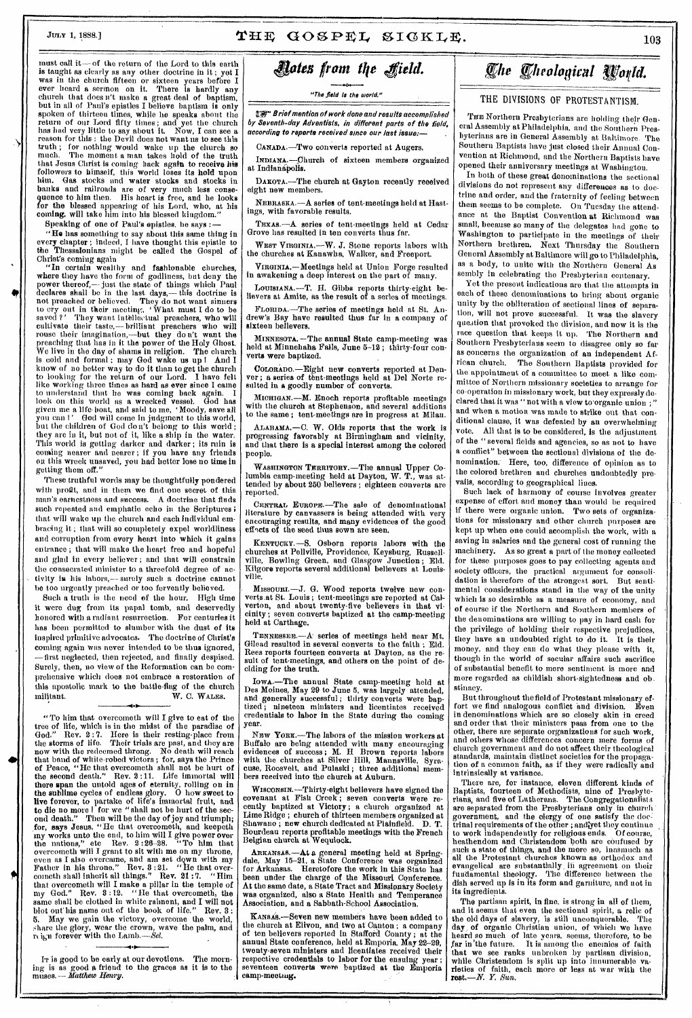# July 1, 1888.]  $THF GOSPEL SIGKLE$ . 103

must call it -- of the return of the Lord to this earth is taught as clearly as any other doctrine in it ; yet I was in the church fifteen or sixteen years before I ever heard a sermon on it. There is hardly any church that does n't make a great deal of baptism, but in all of Paul's epistles I believe baptism is only spoken of thirteen times, while he speaks about the return of our Lord fifty times; and yet the church has had very little to say about it. Now, I can see a reason for this : the Devil does not want us to see this truth ; for nothing would wake up the church so much. The moment a man takes hold of the truth that Jesus Christ is coming back again to receive his followers to himself, this world loses its hold upon him. Gas stocks and water stocks and stocks in banks and railroads are of very much less consequence to him then. His heart is free, and he looks for the blessed appearing of his Lord, who, at his coming, will take him into his blessed kingdom."

Speaking of one of Paul's epistles. he says :

"Ho has something to say about this same thing in every chapter ; indeed, I have thought this epistle to The Thessalonians might he called the Gospel of Christ's coming again  $\cdot$ <br>"In certain wealthy and fashionable churches

"In certain wealthy and fashionable churches, where they have the form of godliness, but deny the power thereof, — just the state of things which Paul declares shall be in the last days,— this doctrine is not preached or believed. They do not want sinners to cry out in their meeting, ' What must I do to he saved ?' They want intellectual preachers, who will cultivate their taste,— brilliant preachers who will rouse their imagination,—but they don't want the preaching that has in it the power of the Holy Ghost. We live in the day of shams in religion. The church is cold and formal ; may God wake us up I And I know of no better way to do it than to get the church<br>to looking for the return of our Lord. I have felt<br>like working three times as hard as ever since I came to understand that he was coming back again. I look on this world as a wrecked vessel. God has given me a life-boat, and said to me, 'Moody, save all you can ' God will come in judgment to this world, but the children of God do n't belong to this world ; they are in it, but not of it, like a ship in the water. This world is getting darker and darker ; its ruin is coning nearer and nearer ; if you have any friends on this wreck unsaved, you had better lose no time in getting them off."

These truthful words may be thoughtfully pondered with profit, and in them we find one secret of this man's earnestness and success. A. doctrine that finds such repeated and emphatic echo in the Scriptures; that will wake up the church and each individual embracing it ; that will so completely expel worldliness and corruption from every heart into which it gains entrance ; that will make the heart free and hopeful and glad in every believer ; and that will constrain the consecrated minister to a threefold degree of activity is his labors,— surely such a doctrine cannot be too urgently preached or too fervently believed.<br>Such a truth is the need of the hour. High time

Such a truth is the need of the hour. it were dug from its papal tomb, and deservedly honored with a radiant resurrection. For centuries it has been permitted to slumber with the dust of its inspired primitive advocates. The doctrine of Christ's coming again was never intended to be thus ignored, —first neglected, then rejected, and finally despised. Surely, then, no view of the Reformation can be comprehensive which does not embrace a restoration of this apostolic mark to the battle-flag of the church militant. W. C. WALES. W. C. WALES.

"To him that overcometh will I give to eat of the tree of life, which is in the midst of the paradise of God." Rev. 2 : 7. Here is their resting-place from the storms of life. Their trials are past, and they are now with the redeemed throng. No death will reach that band of white-robed victors ; for, says the Prince of Peace, "He that overcometh shall not be hurt of the second death." Rev. 2 :11. Life immortal will there span the untold ages of eternity, rolling on in the sublime cycles of endless glory. 0 how sweet to live forever, to partake of life's immortal fruit, and to die no more I for we "shall not be hurt of the second death." Then will be the day of joy and triumph;<br>for, says Jesus, "He that overcometh, and keepeth for, says Jesus, "He that overcometh, and keepeth my works unto the end, to him will I give power over<br>the nations," etc Rev. 2:26-28. "To him that<br>overcometh will I grant to sit with me on my throne,<br>even as I also overcane, and am set down with my<br>Father in his throne." cometh shall inherit all things." Rev. 21 :7. "Him that overcometh will I make a pillar in the temple of my God." Rev. 8 :12. "Ho that overcometh, the same shall be clothed in white raiment, and I will not blot out his name out of the book of life." Rev. 3 : 5. May we gain the victory, overcome the world, share the glory, wear the crown, wave the palm, and re ign forever with the Lamb.--Sel.

IT is good to be early at our devotions. The morn-ing is as good a friend to the graces as it is to the muses.— *Matthew .Henry.* 

4

# *vies from Ike 4field.*

"The field la the world."

1<sup>8</sup> Prief mention of work done and results accomplished by Seventh-day Adventists, in different parts of **the** field, according to reports received since our last issue:—

CANADA.—Two converts reported at Augers.

INmANA.—Ohurch of sixteen members organized at Indianipolis.

DAKOTA.—The church at Gayton recently received eight new members.

NEBRASKA.—A series of tent-meetings held at Hastings, with favorable results.

TEXAS. —A series of tent-meetings held at Cedar Grove has resulted in ten converts thus far.

WEST VIRGINIA, - W. J. Stone reports labors with the churches at Kanawha, Walker, and Freeport.

VIRGINIA.—Meetings held at Union Forge resulted in awakening a deep interest on the part of many.

LOUISIANA.—T. H. Gibbs reports thirty-eight believers at Amite, as the result of a series of meetings.

FLORIDA. —The series of meetings held at St. Andrew's Bay have resulted thus far in a company of sixteen bellevers.

MINNESOTA. —The annual State camp-meeting was held at Minnehaha Falls, June 5-12 ; thirty-four converts were baptized.

COLORADO.—Eight new converts reported at Den-ver; a series of tent-meetings held at Del Norte re-sulted in a goodly number of converts.

MICHIGAN.—M. Enoch reports profitable meetings with the church at Stephenson, and several additions to the same ; tent-meetings are in progress at Milan.

ALABAMA.—C. W. Olds reports that the work is progressing favorably at Birmingham and vicinity, and that there is a special interest among the colored people.

WASHINGTON TERRITORY.—T110 annual Upper Co-lumbia camp-meeting held at Dayton, W. T., was attended by about 250 believers ; eighteen converts are reported.

CENTRAL EUROPE.—Tile sale of denominational literature by canvassers is being attended with very encouraging results, and many evidences of the good eff'cts of the seed thus sown are seen.

KENTUCKY.—S. Osborn reports labors with the churches at Pellville, Providence, Keysburg, Russellville, Bowling Green, and Glasgow Junction ; Eld. Kilgore reports several additional believers at Louisville.

Missouni.—J. G. Wood reports twelve new converts at St. Louis ; tent-meetings are reported at Cal-verton, and about twenty-five believers in that vicinity ; seven converts baptized at the camp-meeting held at Carthage.

TENNESSEE. —A series of meetings held near Mt. Gilead resulted in several converts to the faith ; Eld. Rees reports fourteen converts at Dayton, as the result of tent-meetings, and others on the point of deciding for the truth.

Iowa.-The annual State camp-meeting held at Des Moines, May 29 to June 5, was largely attended, and generally successful ; thirty converts were baptized ; nineteen ministers and licentiates received credentials to labor in the State during the coming year.

Nam Yonx.—The labors of the mission workers at Buffalo are being attended with many encouraging evidences of success ; M. H Brown reports labors with the churches at Silver Hill, Mannsville, Syracuse, Roosvelt, and Pulaski ; three additional members received into the church at Auburn.

WISCONSIN.—Thirty-eight believers have signed the covenant at Fish Creek ; seven converts were recently baptized at Victory; a church organized at Lime Ridge ; church of thirteen members organized at Shawano ; new church dedicated at Plainfield. D. T. Bourdeau reports profitable meetings with the French Belgian church at Wequiock.

ARKANSAS.—At a general meeting held at Spring-dale, May 15-21, a State Conference was organized for Arkansas. Heretofore the work in this State has been under the charge of the Missouri Conference. At the same date, a State Tract and Missionary Society was organized, also a State Health and Temperance Association, and a Sabbath-School Association.

KANSAS.--Seven new members have been added to the church at Elivon, and two at Canton ; a company of ten believers reported in Stafford County ; at the annual State conference, held at Emporia, May 22-29, twenty-seven ministers and licentiates received their respective, credentials to labor for the ensuing year ; seventeen converts were baptized at the Emporia camp-meeting.

# *fie fheological*

# THE DIVISIONS OF PROTESTANTISM.

THE Northern Presbyterians are holding their General Assembly at Philadelphia, and the Southern Presbyterians are in General Assembly at Baltimore. The Southern Baptists have just closed their Annual Convention at Richmond, and the Northern Baptists have opened their anniversary meetings at Washington.

In both of these great denominations the sectional divisions do not represent any differences as to doetrine and order, and the fraternity of feeling between them seems to be complete. On Tuesday the attendance at the Baptist Convention at Richmond was small, because so many of the delegates had gone to Washington to participate in the meetings of their Northern brethren. Next Thursday the Southern General Assembly at Baltimore will go to Philadelphia, as a body, to unite with tile Northern General As sembly in celebrating the Presbyterian centenary.

Yet the present indications are that the attempts in each of these denominations to bring about organic unity by the obliteration of sectional lines of separation, will not prove successful. It was the slavery question that provoked the division, and now it is the race question that keeps it up. The Northern and Southern Presbyterians seem to disagree only so far as concerns the organization of an independent African church. The Southern Baptists provided for the appointment of a committee to meet a like committee of Northern missionary societies to arrange for co-operation in missionary work, but they expressly declared that it was "not with a view to organic union;" and when a motion was made to strike out that conditional clause, it was defeated by an overwhelming vote. All that is to be considered, is the adjustment of the " several fields and agencies, so as not to have a conflict" between the sectional divisions of the denomination.- Here, too, difference of opinion as to the colored brethren and churches undoubtedly prevails, according to geographical lines.

Such lack of harmony of course involves greater expense of effort and money than would be required if there were organic union. Two sets of organizations for missionary and other church purposes are kept up when one could accomplish the work, with a saving in salaries and the general cost of running the machinery. As so great a part of the money collected for these purposes goes to pay collecting agents and society officers, the practical argument for consolidation is therefore of the strongest sort. But sentimental considerations stand in the way of the unity which is so desirable as a measure of economy, and of eourse if the Northern and Southern members of the denominations are willing to pay in hard cash for the privilege of holding their respective prejudices, they have an undoubted right to do it. It is their money, and they can do what they please with it, though in the world of secular affairs such sacrifice of substantial benefit to mere sentiment is more and more regarded as childish short-sightedness and ob. stinacy.

But throughout the field of Protestant missionary effort we find analogous conflict and division. Even in denominations which are so closely akin in creed and order that their ministers pass from one to the other, there are separate organizations for such work, and others whose differences concern mere forms of church government and do not affect their theological standards, maintain distinct societies for the propagation of a common faith, as if they were radically and intrinsically at variance.

There are, for instance, eleven different kinds *of*  Baptists, fourteen of Methodists, nine of Presbyterians, and five of Lutherans. The Congregationalist are separated from the Presbyterians only in church government, and the clergy of one satisfy the doc $t$ rinal requirements of the other ; andiyet they continue to work independently for religious ends. Of course, heathendom and Christendom both are confused by such a state of things, and the more so, inasmuch as all the Protestant churches known as orthodox and evangelical are substantially, in agreement on their fundamental theology. The difference between the dish served up is in its form and garniture, and not in its ingredients.

Tho partisan spirit, in fine, is strong in all of them, and it seems that even the sectional spirit, a relic of<br>the old days of slavery, is still unconquerable. The the old days of slavery, is still unconquerable. The day. of organic Christian union, of which we have heard so much of late years, seems, therefore, to be far in 'the future. It is among the enemies of faith that wo see ranks unbroken by partisan division, while Christendom is split up into innumerable va-rieties of faith, each more or less at war with the rest—N. *Y.* Sun.